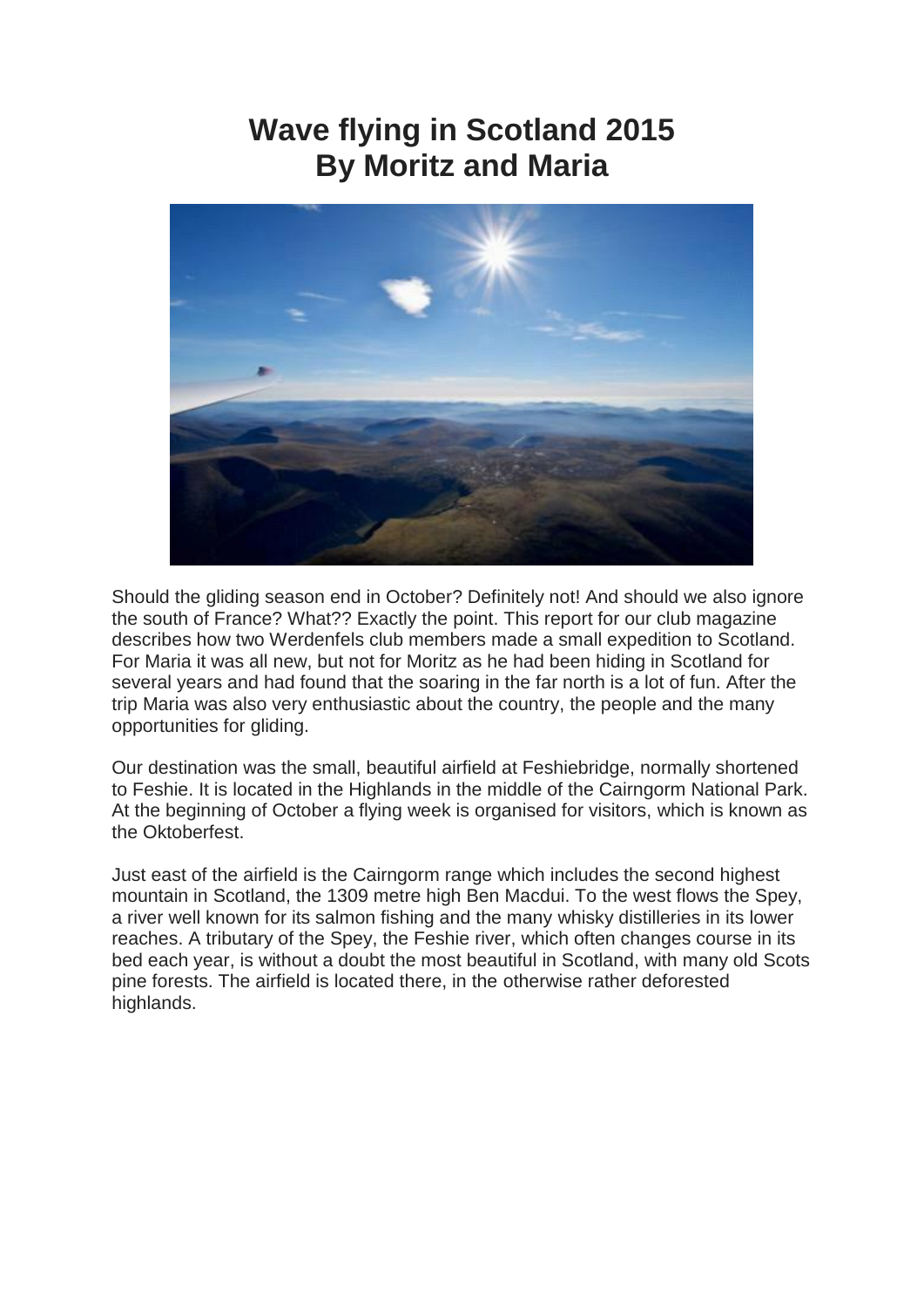# **Wave flying in Scotland 2015 By Moritz and Maria**



Should the gliding season end in October? Definitely not! And should we also ignore the south of France? What?? Exactly the point. This report for our club magazine describes how two Werdenfels club members made a small expedition to Scotland. For Maria it was all new, but not for Moritz as he had been hiding in Scotland for several years and had found that the soaring in the far north is a lot of fun. After the trip Maria was also very enthusiastic about the country, the people and the many opportunities for gliding.

Our destination was the small, beautiful airfield at Feshiebridge, normally shortened to Feshie. It is located in the Highlands in the middle of the Cairngorm National Park. At the beginning of October a flying week is organised for visitors, which is known as the Oktoberfest.

Just east of the airfield is the Cairngorm range which includes the second highest mountain in Scotland, the 1309 metre high Ben Macdui. To the west flows the Spey, a river well known for its salmon fishing and the many whisky distilleries in its lower reaches. A tributary of the Spey, the Feshie river, which often changes course in its bed each year, is without a doubt the most beautiful in Scotland, with many old Scots pine forests. The airfield is located there, in the otherwise rather deforested highlands.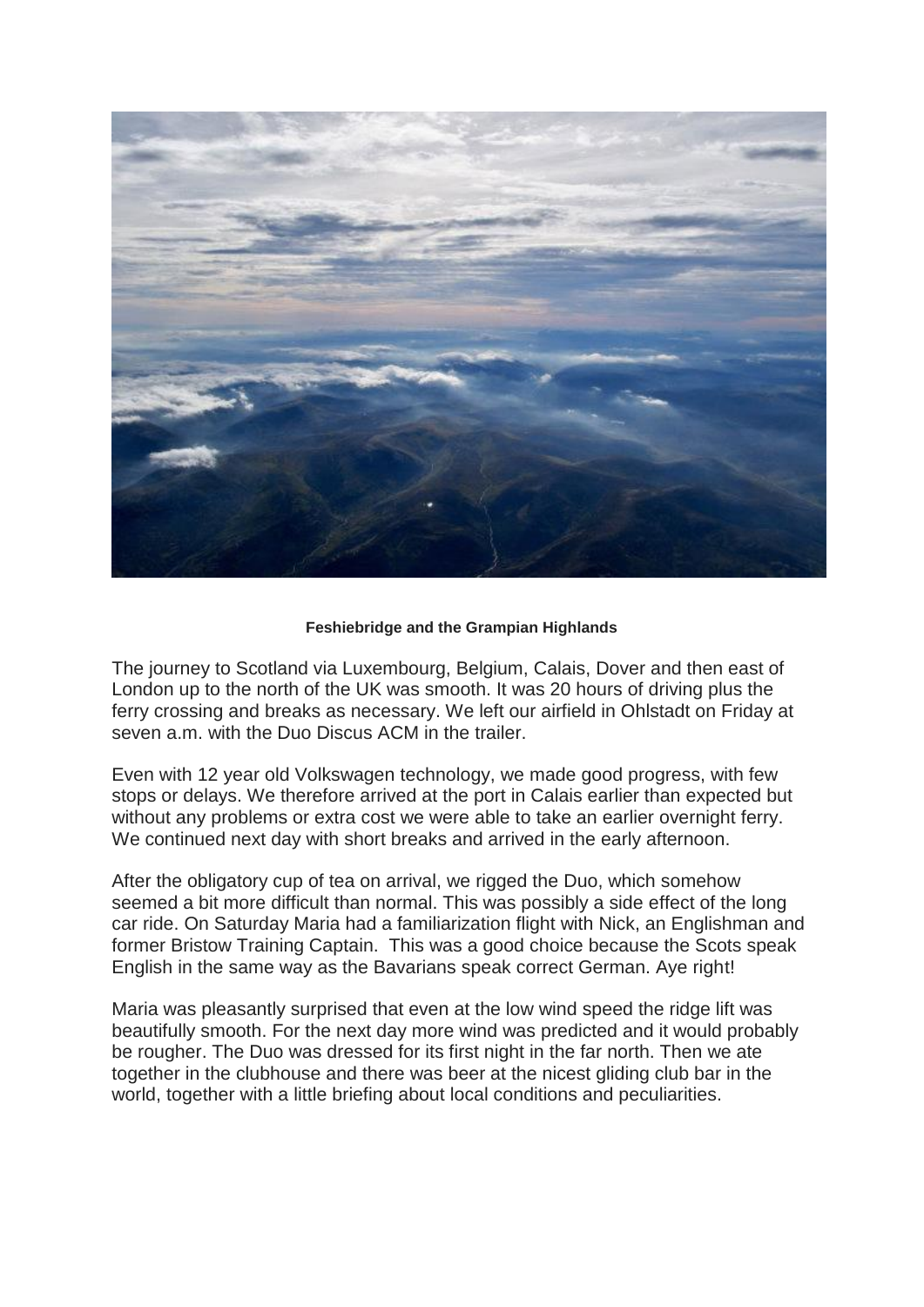

# **Feshiebridge and the Grampian Highlands**

The journey to Scotland via Luxembourg, Belgium, Calais, Dover and then east of London up to the north of the UK was smooth. It was 20 hours of driving plus the ferry crossing and breaks as necessary. We left our airfield in Ohlstadt on Friday at seven a.m. with the Duo Discus ACM in the trailer.

Even with 12 year old Volkswagen technology, we made good progress, with few stops or delays. We therefore arrived at the port in Calais earlier than expected but without any problems or extra cost we were able to take an earlier overnight ferry. We continued next day with short breaks and arrived in the early afternoon.

After the obligatory cup of tea on arrival, we rigged the Duo, which somehow seemed a bit more difficult than normal. This was possibly a side effect of the long car ride. On Saturday Maria had a familiarization flight with Nick, an Englishman and former Bristow Training Captain. This was a good choice because the Scots speak English in the same way as the Bavarians speak correct German. Aye right!

Maria was pleasantly surprised that even at the low wind speed the ridge lift was beautifully smooth. For the next day more wind was predicted and it would probably be rougher. The Duo was dressed for its first night in the far north. Then we ate together in the clubhouse and there was beer at the nicest gliding club bar in the world, together with a little briefing about local conditions and peculiarities.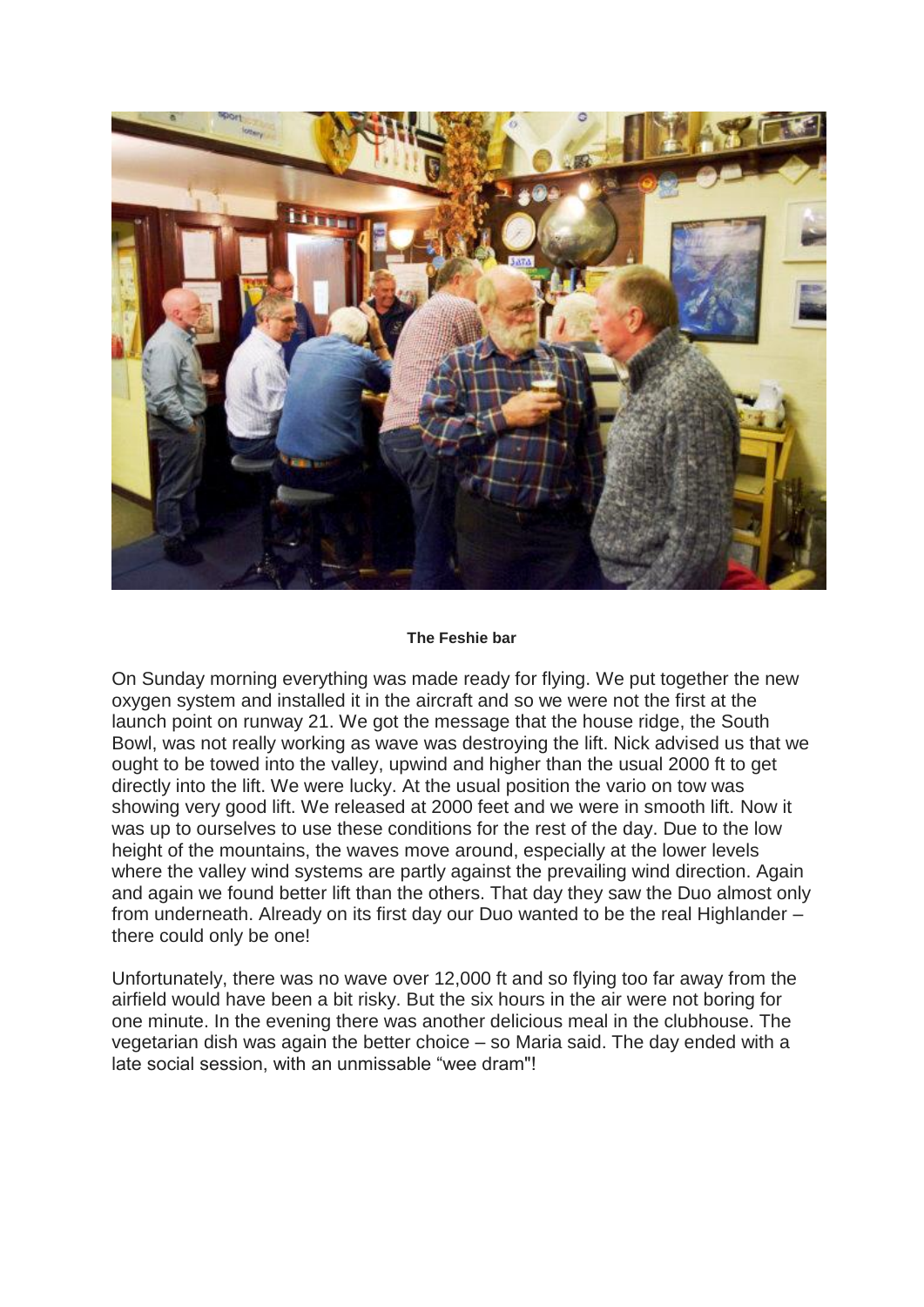

#### **The Feshie bar**

On Sunday morning everything was made ready for flying. We put together the new oxygen system and installed it in the aircraft and so we were not the first at the launch point on runway 21. We got the message that the house ridge, the South Bowl, was not really working as wave was destroying the lift. Nick advised us that we ought to be towed into the valley, upwind and higher than the usual 2000 ft to get directly into the lift. We were lucky. At the usual position the vario on tow was showing very good lift. We released at 2000 feet and we were in smooth lift. Now it was up to ourselves to use these conditions for the rest of the day. Due to the low height of the mountains, the waves move around, especially at the lower levels where the valley wind systems are partly against the prevailing wind direction. Again and again we found better lift than the others. That day they saw the Duo almost only from underneath. Already on its first day our Duo wanted to be the real Highlander – there could only be one!

Unfortunately, there was no wave over 12,000 ft and so flying too far away from the airfield would have been a bit risky. But the six hours in the air were not boring for one minute. In the evening there was another delicious meal in the clubhouse. The vegetarian dish was again the better choice – so Maria said. The day ended with a late social session, with an unmissable "wee dram"!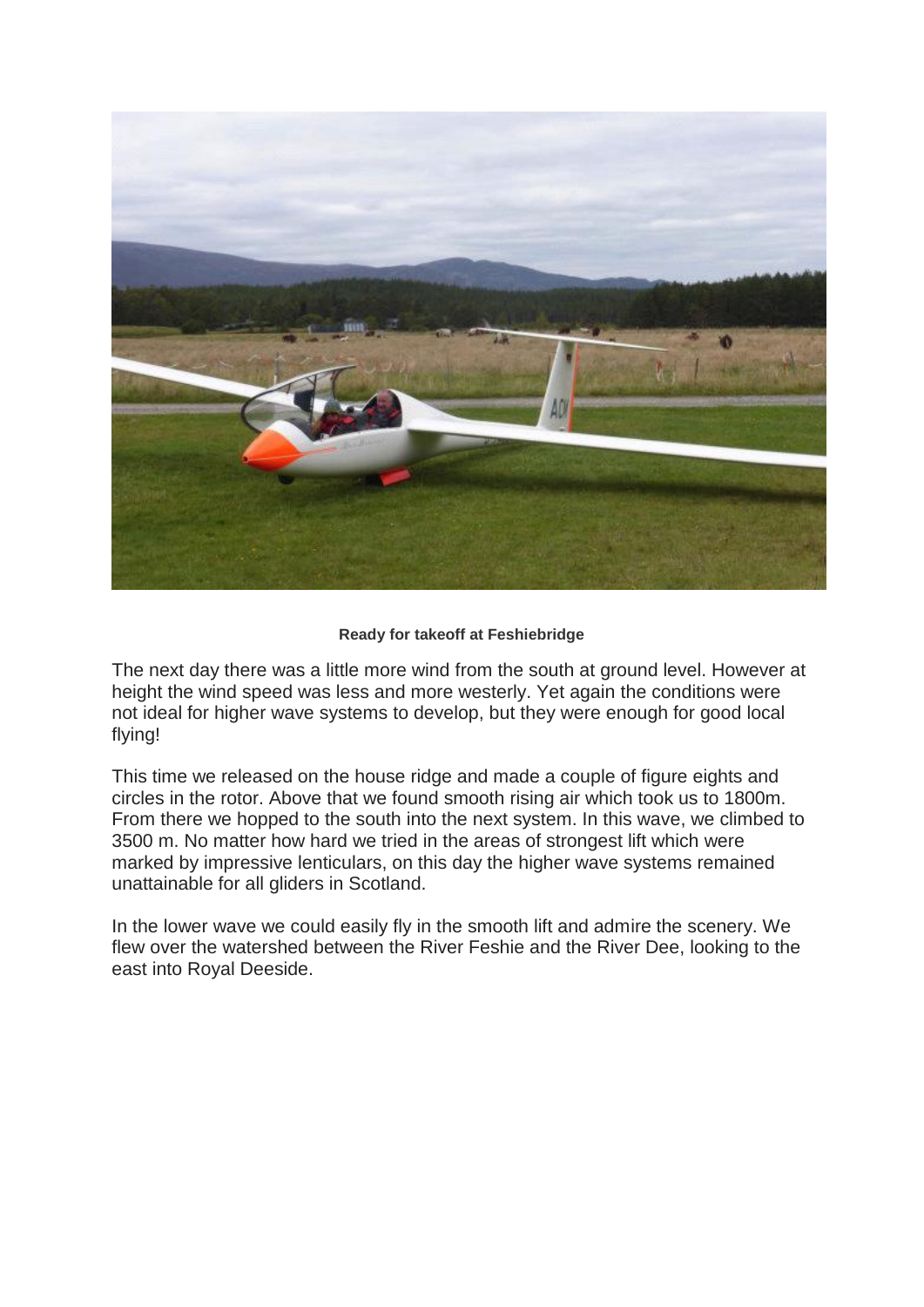

# **Ready for takeoff at Feshiebridge**

The next day there was a little more wind from the south at ground level. However at height the wind speed was less and more westerly. Yet again the conditions were not ideal for higher wave systems to develop, but they were enough for good local flying!

This time we released on the house ridge and made a couple of figure eights and circles in the rotor. Above that we found smooth rising air which took us to 1800m. From there we hopped to the south into the next system. In this wave, we climbed to 3500 m. No matter how hard we tried in the areas of strongest lift which were marked by impressive lenticulars, on this day the higher wave systems remained unattainable for all gliders in Scotland.

In the lower wave we could easily fly in the smooth lift and admire the scenery. We flew over the watershed between the River Feshie and the River Dee, looking to the east into Royal Deeside.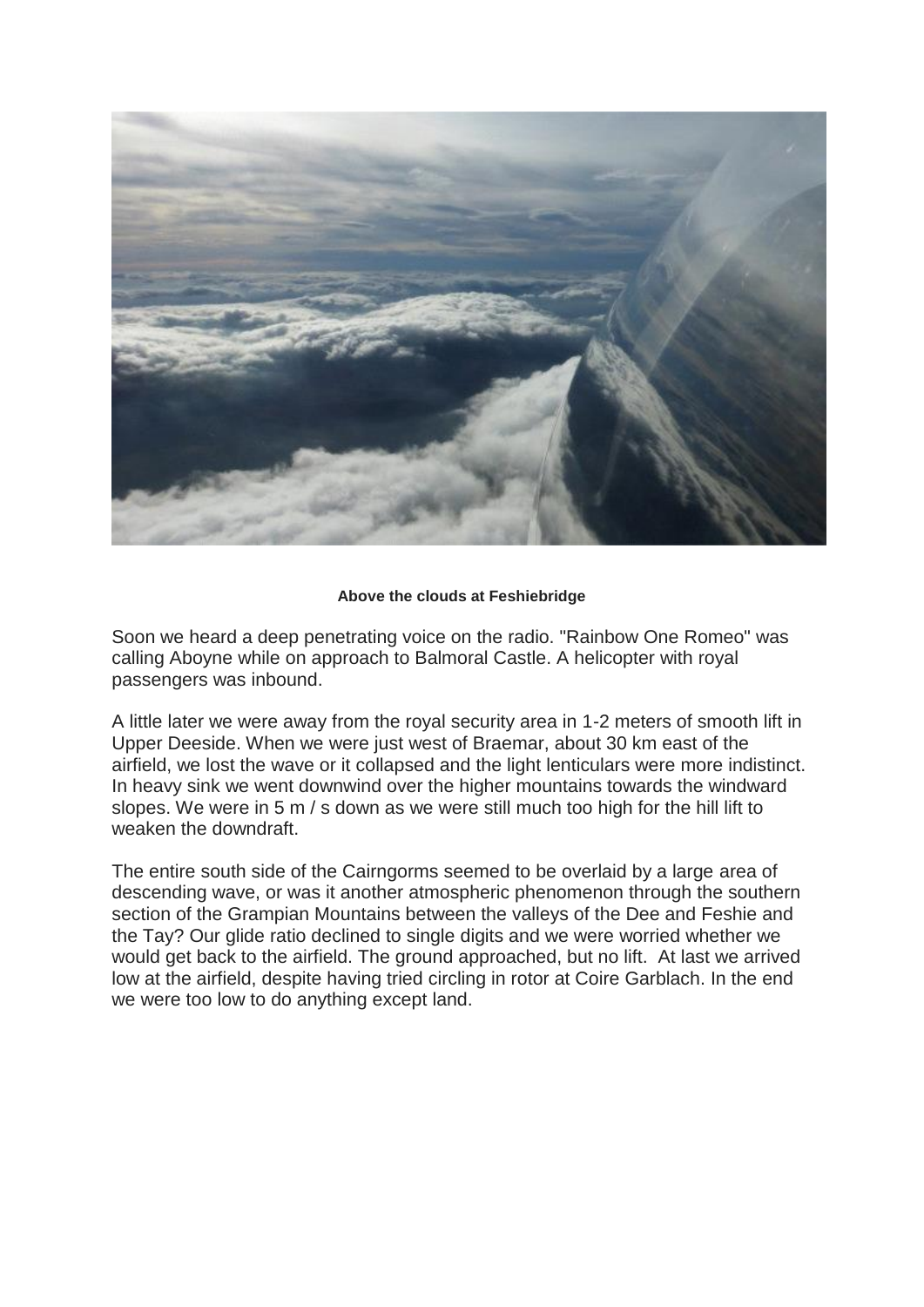

# **Above the clouds at Feshiebridge**

Soon we heard a deep penetrating voice on the radio. "Rainbow One Romeo" was calling Aboyne while on approach to Balmoral Castle. A helicopter with royal passengers was inbound.

A little later we were away from the royal security area in 1-2 meters of smooth lift in Upper Deeside. When we were just west of Braemar, about 30 km east of the airfield, we lost the wave or it collapsed and the light lenticulars were more indistinct. In heavy sink we went downwind over the higher mountains towards the windward slopes. We were in 5 m / s down as we were still much too high for the hill lift to weaken the downdraft

The entire south side of the Cairngorms seemed to be overlaid by a large area of descending wave, or was it another atmospheric phenomenon through the southern section of the Grampian Mountains between the valleys of the Dee and Feshie and the Tay? Our glide ratio declined to single digits and we were worried whether we would get back to the airfield. The ground approached, but no lift. At last we arrived low at the airfield, despite having tried circling in rotor at Coire Garblach. In the end we were too low to do anything except land.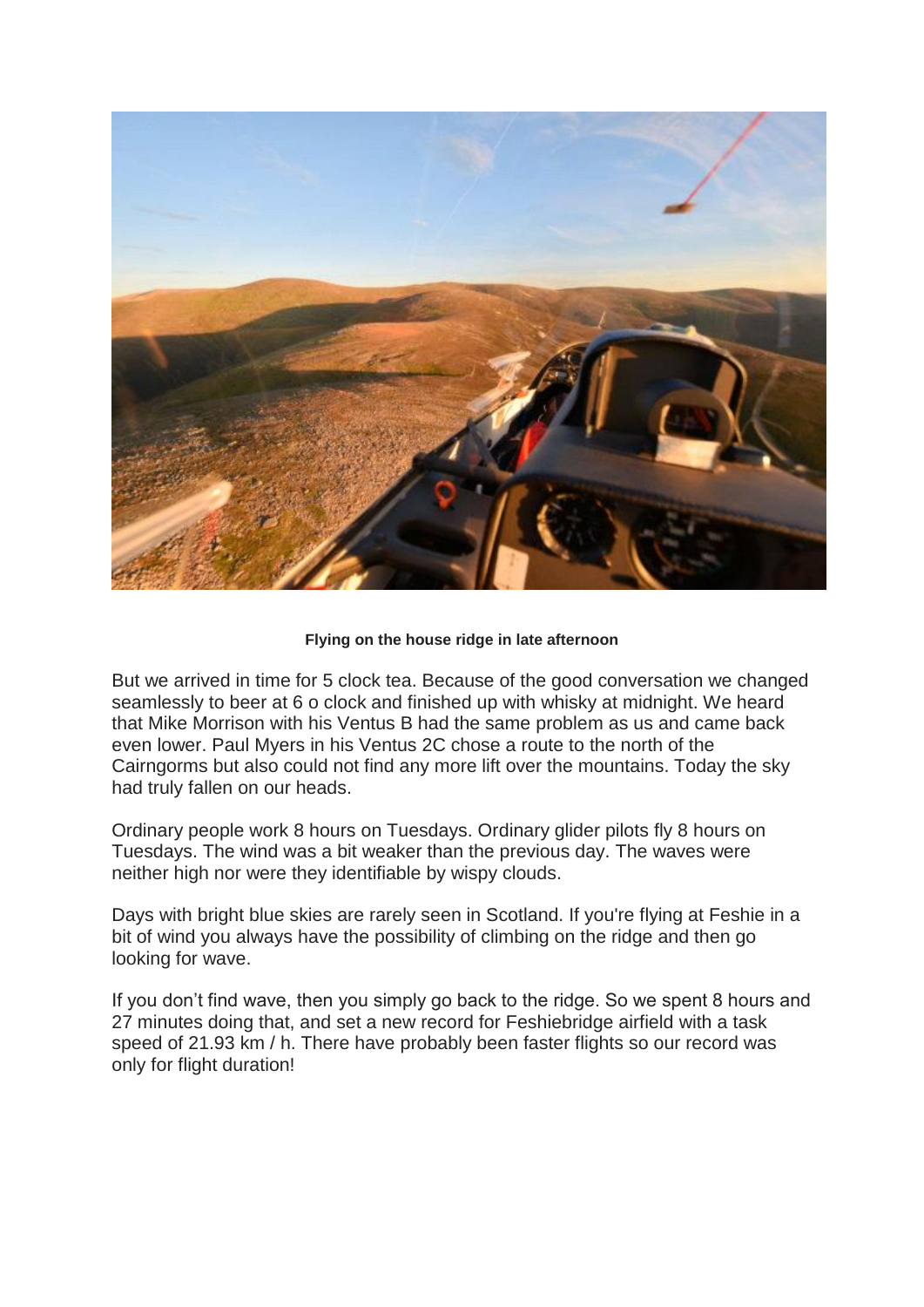

# **Flying on the house ridge in late afternoon**

But we arrived in time for 5 clock tea. Because of the good conversation we changed seamlessly to beer at 6 o clock and finished up with whisky at midnight. We heard that Mike Morrison with his Ventus B had the same problem as us and came back even lower. Paul Myers in his Ventus 2C chose a route to the north of the Cairngorms but also could not find any more lift over the mountains. Today the sky had truly fallen on our heads.

Ordinary people work 8 hours on Tuesdays. Ordinary glider pilots fly 8 hours on Tuesdays. The wind was a bit weaker than the previous day. The waves were neither high nor were they identifiable by wispy clouds.

Days with bright blue skies are rarely seen in Scotland. If you're flying at Feshie in a bit of wind you always have the possibility of climbing on the ridge and then go looking for wave.

If you don't find wave, then you simply go back to the ridge. So we spent 8 hours and 27 minutes doing that, and set a new record for Feshiebridge airfield with a task speed of 21.93 km / h. There have probably been faster flights so our record was only for flight duration!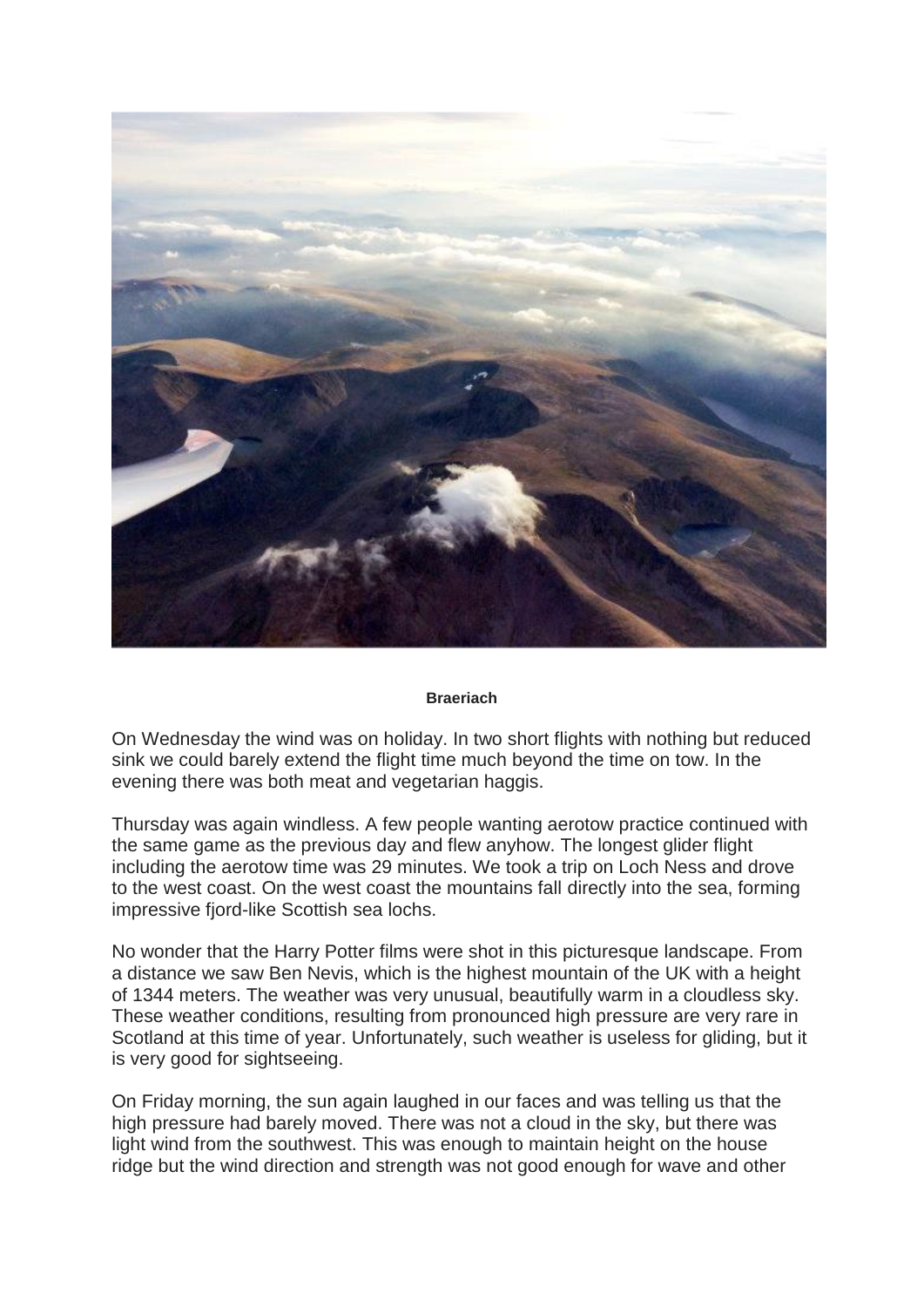

#### **Braeriach**

On Wednesday the wind was on holiday. In two short flights with nothing but reduced sink we could barely extend the flight time much beyond the time on tow. In the evening there was both meat and vegetarian haggis.

Thursday was again windless. A few people wanting aerotow practice continued with the same game as the previous day and flew anyhow. The longest glider flight including the aerotow time was 29 minutes. We took a trip on Loch Ness and drove to the west coast. On the west coast the mountains fall directly into the sea, forming impressive fjord-like Scottish sea lochs.

No wonder that the Harry Potter films were shot in this picturesque landscape. From a distance we saw Ben Nevis, which is the highest mountain of the UK with a height of 1344 meters. The weather was very unusual, beautifully warm in a cloudless sky. These weather conditions, resulting from pronounced high pressure are very rare in Scotland at this time of year. Unfortunately, such weather is useless for gliding, but it is very good for sightseeing.

On Friday morning, the sun again laughed in our faces and was telling us that the high pressure had barely moved. There was not a cloud in the sky, but there was light wind from the southwest. This was enough to maintain height on the house ridge but the wind direction and strength was not good enough for wave and other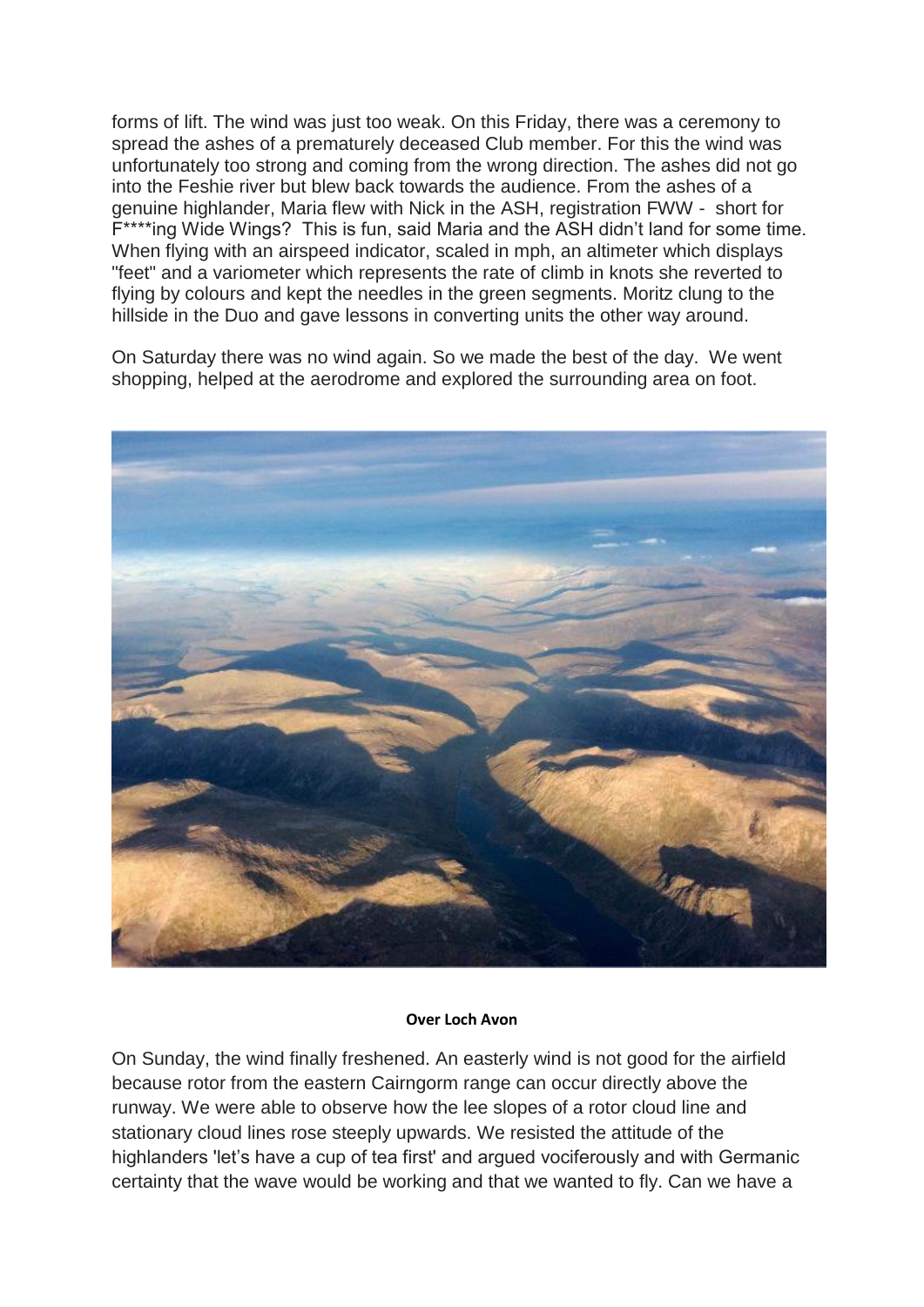forms of lift. The wind was just too weak. On this Friday, there was a ceremony to spread the ashes of a prematurely deceased Club member. For this the wind was unfortunately too strong and coming from the wrong direction. The ashes did not go into the Feshie river but blew back towards the audience. From the ashes of a genuine highlander, Maria flew with Nick in the ASH, registration FWW - short for F\*\*\*\*ing Wide Wings? This is fun, said Maria and the ASH didn't land for some time. When flying with an airspeed indicator, scaled in mph, an altimeter which displays "feet" and a variometer which represents the rate of climb in knots she reverted to flying by colours and kept the needles in the green segments. Moritz clung to the hillside in the Duo and gave lessons in converting units the other way around.

On Saturday there was no wind again. So we made the best of the day. We went shopping, helped at the aerodrome and explored the surrounding area on foot.



#### **Over Loch Avon**

On Sunday, the wind finally freshened. An easterly wind is not good for the airfield because rotor from the eastern Cairngorm range can occur directly above the runway. We were able to observe how the lee slopes of a rotor cloud line and stationary cloud lines rose steeply upwards. We resisted the attitude of the highlanders 'let's have a cup of tea first' and argued vociferously and with Germanic certainty that the wave would be working and that we wanted to fly. Can we have a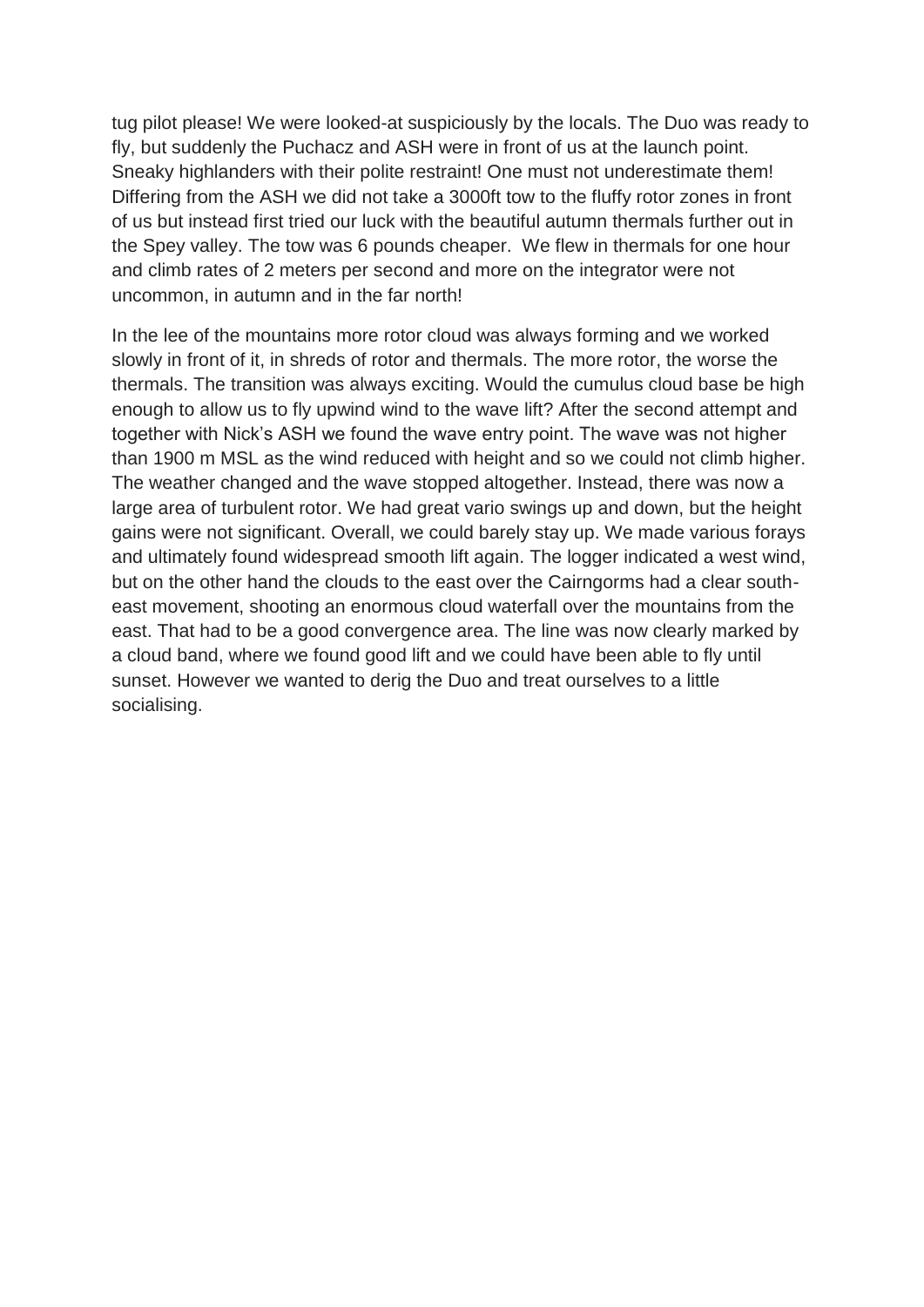tug pilot please! We were looked-at suspiciously by the locals. The Duo was ready to fly, but suddenly the Puchacz and ASH were in front of us at the launch point. Sneaky highlanders with their polite restraint! One must not underestimate them! Differing from the ASH we did not take a 3000ft tow to the fluffy rotor zones in front of us but instead first tried our luck with the beautiful autumn thermals further out in the Spey valley. The tow was 6 pounds cheaper. We flew in thermals for one hour and climb rates of 2 meters per second and more on the integrator were not uncommon, in autumn and in the far north!

In the lee of the mountains more rotor cloud was always forming and we worked slowly in front of it, in shreds of rotor and thermals. The more rotor, the worse the thermals. The transition was always exciting. Would the cumulus cloud base be high enough to allow us to fly upwind wind to the wave lift? After the second attempt and together with Nick's ASH we found the wave entry point. The wave was not higher than 1900 m MSL as the wind reduced with height and so we could not climb higher. The weather changed and the wave stopped altogether. Instead, there was now a large area of turbulent rotor. We had great vario swings up and down, but the height gains were not significant. Overall, we could barely stay up. We made various forays and ultimately found widespread smooth lift again. The logger indicated a west wind, but on the other hand the clouds to the east over the Cairngorms had a clear southeast movement, shooting an enormous cloud waterfall over the mountains from the east. That had to be a good convergence area. The line was now clearly marked by a cloud band, where we found good lift and we could have been able to fly until sunset. However we wanted to derig the Duo and treat ourselves to a little socialising.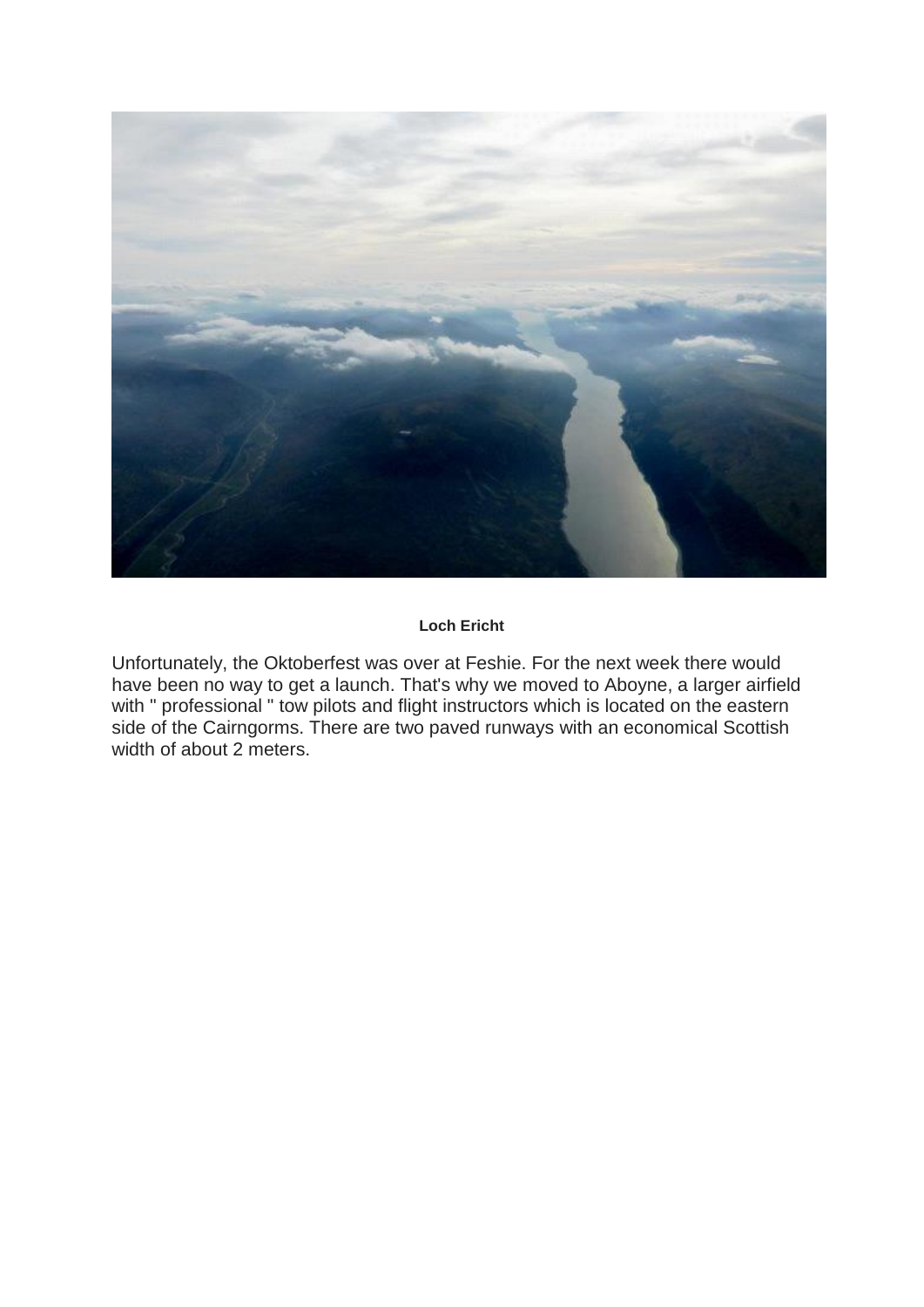

# **Loch Ericht**

Unfortunately, the Oktoberfest was over at Feshie. For the next week there would have been no way to get a launch. That's why we moved to Aboyne, a larger airfield with " professional " tow pilots and flight instructors which is located on the eastern side of the Cairngorms. There are two paved runways with an economical Scottish width of about 2 meters.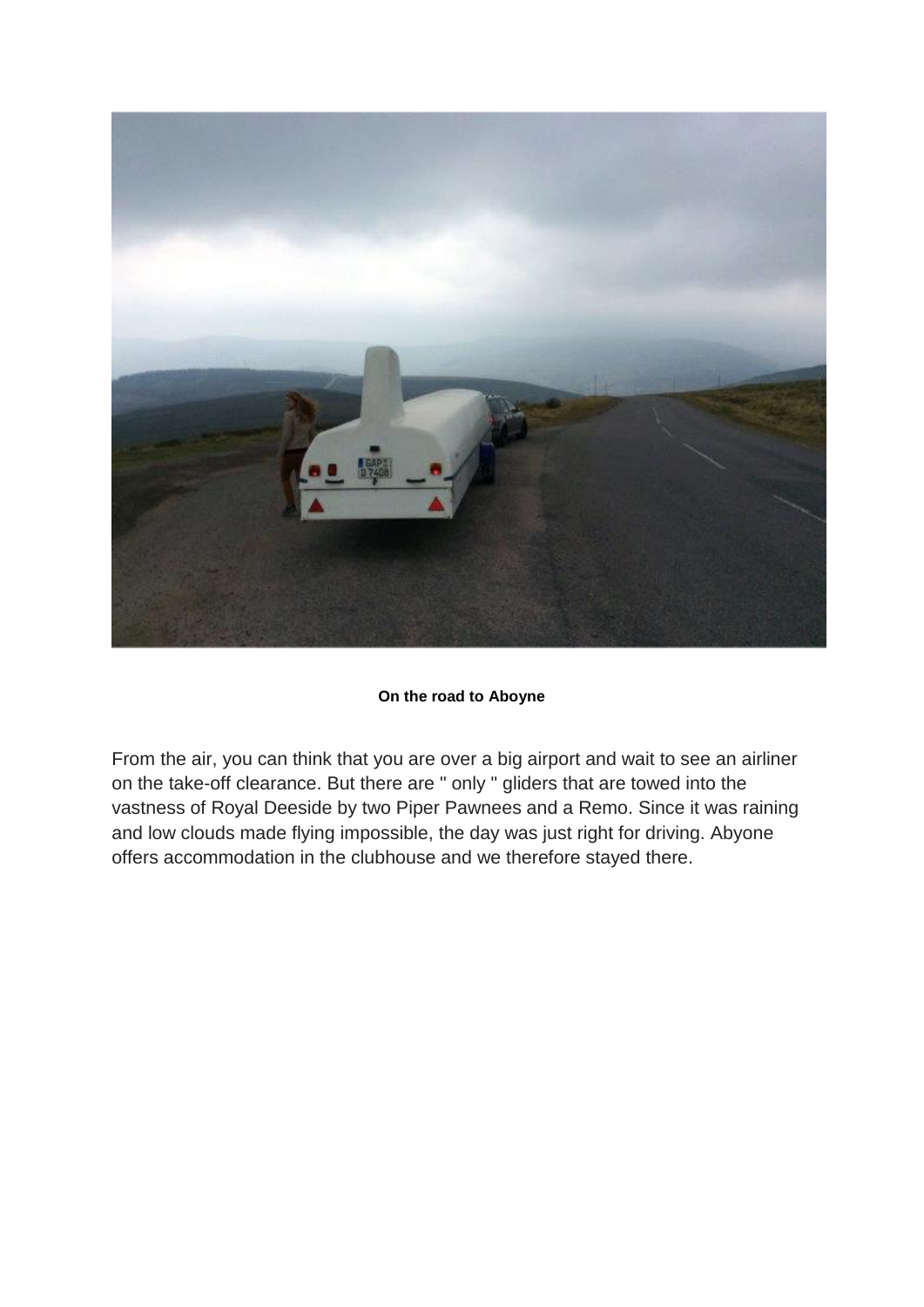

# **On the road to Aboyne**

From the air, you can think that you are over a big airport and wait to see an airliner on the take-off clearance. But there are " only " gliders that are towed into the vastness of Royal Deeside by two Piper Pawnees and a Remo. Since it was raining and low clouds made flying impossible, the day was just right for driving. Abyone offers accommodation in the clubhouse and we therefore stayed there.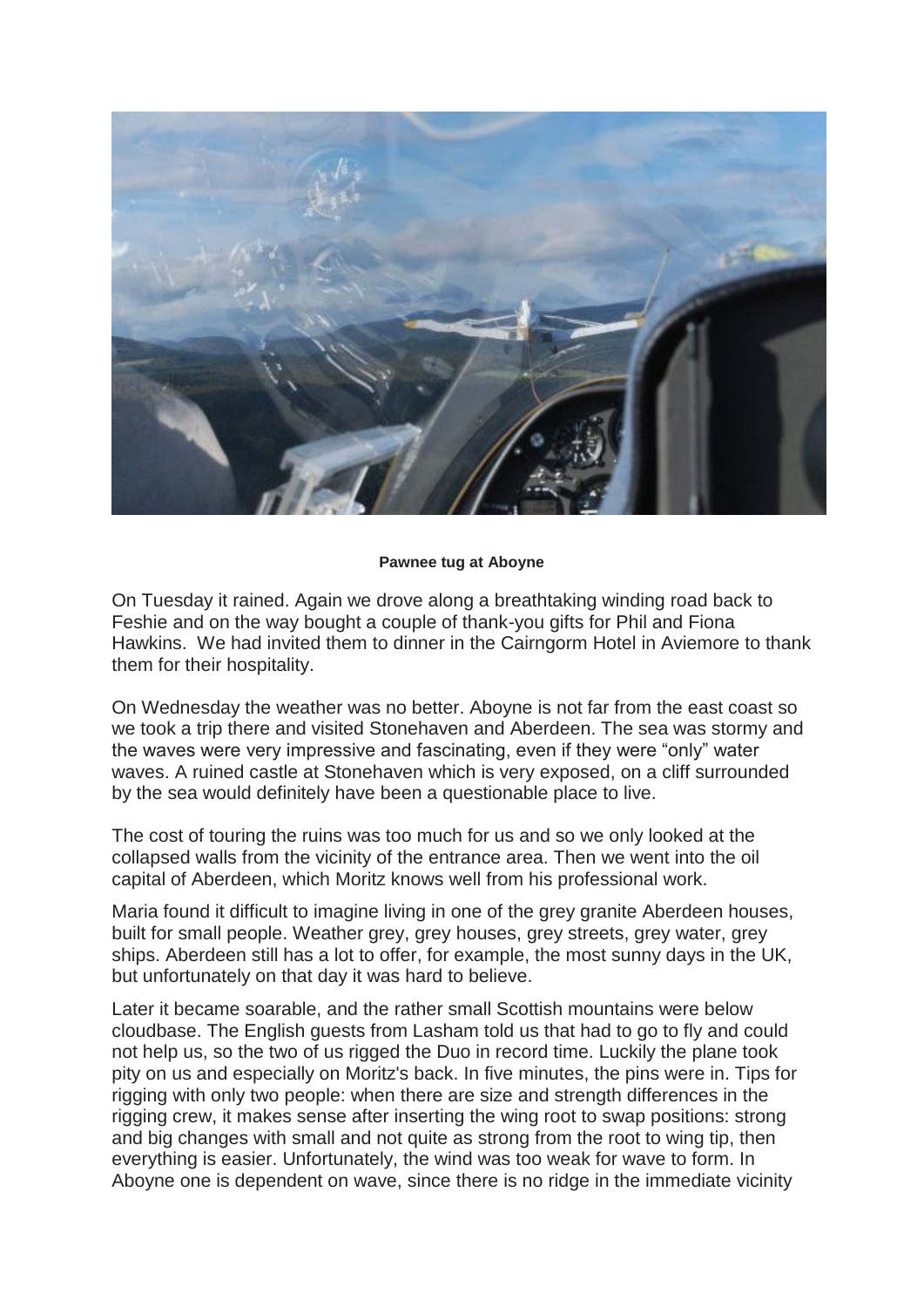

# **Pawnee tug at Aboyne**

On Tuesday it rained. Again we drove along a breathtaking winding road back to Feshie and on the way bought a couple of thank-you gifts for Phil and Fiona Hawkins. We had invited them to dinner in the Cairngorm Hotel in Aviemore to thank them for their hospitality.

On Wednesday the weather was no better. Aboyne is not far from the east coast so we took a trip there and visited Stonehaven and Aberdeen. The sea was stormy and the waves were very impressive and fascinating, even if they were "only" water waves. A ruined castle at Stonehaven which is very exposed, on a cliff surrounded by the sea would definitely have been a questionable place to live.

The cost of touring the ruins was too much for us and so we only looked at the collapsed walls from the vicinity of the entrance area. Then we went into the oil capital of Aberdeen, which Moritz knows well from his professional work.

Maria found it difficult to imagine living in one of the grey granite Aberdeen houses, built for small people. Weather grey, grey houses, grey streets, grey water, grey ships. Aberdeen still has a lot to offer, for example, the most sunny days in the UK, but unfortunately on that day it was hard to believe.

Later it became soarable, and the rather small Scottish mountains were below cloudbase. The English guests from Lasham told us that had to go to fly and could not help us, so the two of us rigged the Duo in record time. Luckily the plane took pity on us and especially on Moritz's back. In five minutes, the pins were in. Tips for rigging with only two people: when there are size and strength differences in the rigging crew, it makes sense after inserting the wing root to swap positions: strong and big changes with small and not quite as strong from the root to wing tip, then everything is easier. Unfortunately, the wind was too weak for wave to form. In Aboyne one is dependent on wave, since there is no ridge in the immediate vicinity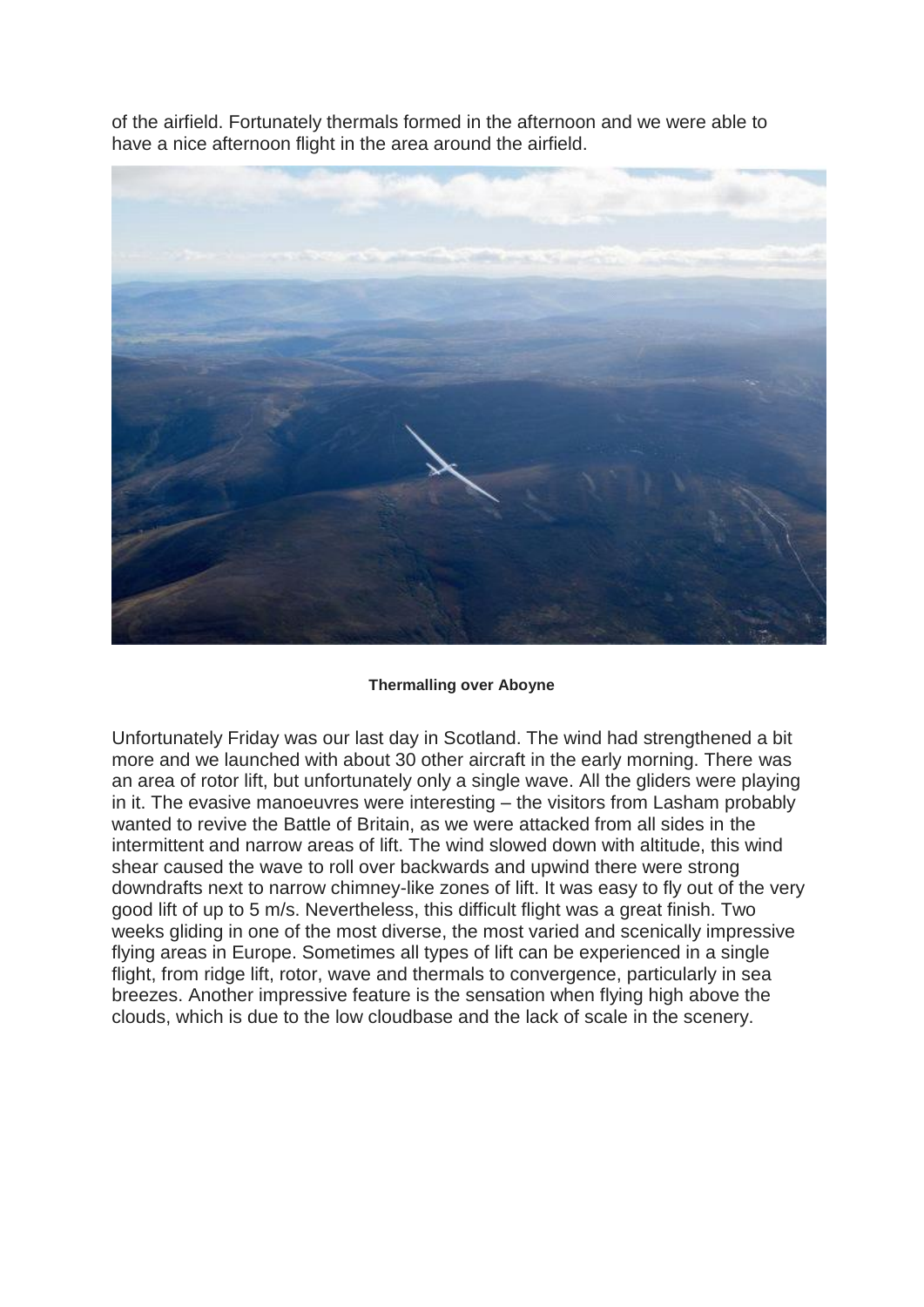of the airfield. Fortunately thermals formed in the afternoon and we were able to have a nice afternoon flight in the area around the airfield.



#### **Thermalling over Aboyne**

Unfortunately Friday was our last day in Scotland. The wind had strengthened a bit more and we launched with about 30 other aircraft in the early morning. There was an area of rotor lift, but unfortunately only a single wave. All the gliders were playing in it. The evasive manoeuvres were interesting – the visitors from Lasham probably wanted to revive the Battle of Britain, as we were attacked from all sides in the intermittent and narrow areas of lift. The wind slowed down with altitude, this wind shear caused the wave to roll over backwards and upwind there were strong downdrafts next to narrow chimney-like zones of lift. It was easy to fly out of the very good lift of up to 5 m/s. Nevertheless, this difficult flight was a great finish. Two weeks gliding in one of the most diverse, the most varied and scenically impressive flying areas in Europe. Sometimes all types of lift can be experienced in a single flight, from ridge lift, rotor, wave and thermals to convergence, particularly in sea breezes. Another impressive feature is the sensation when flying high above the clouds, which is due to the low cloudbase and the lack of scale in the scenery.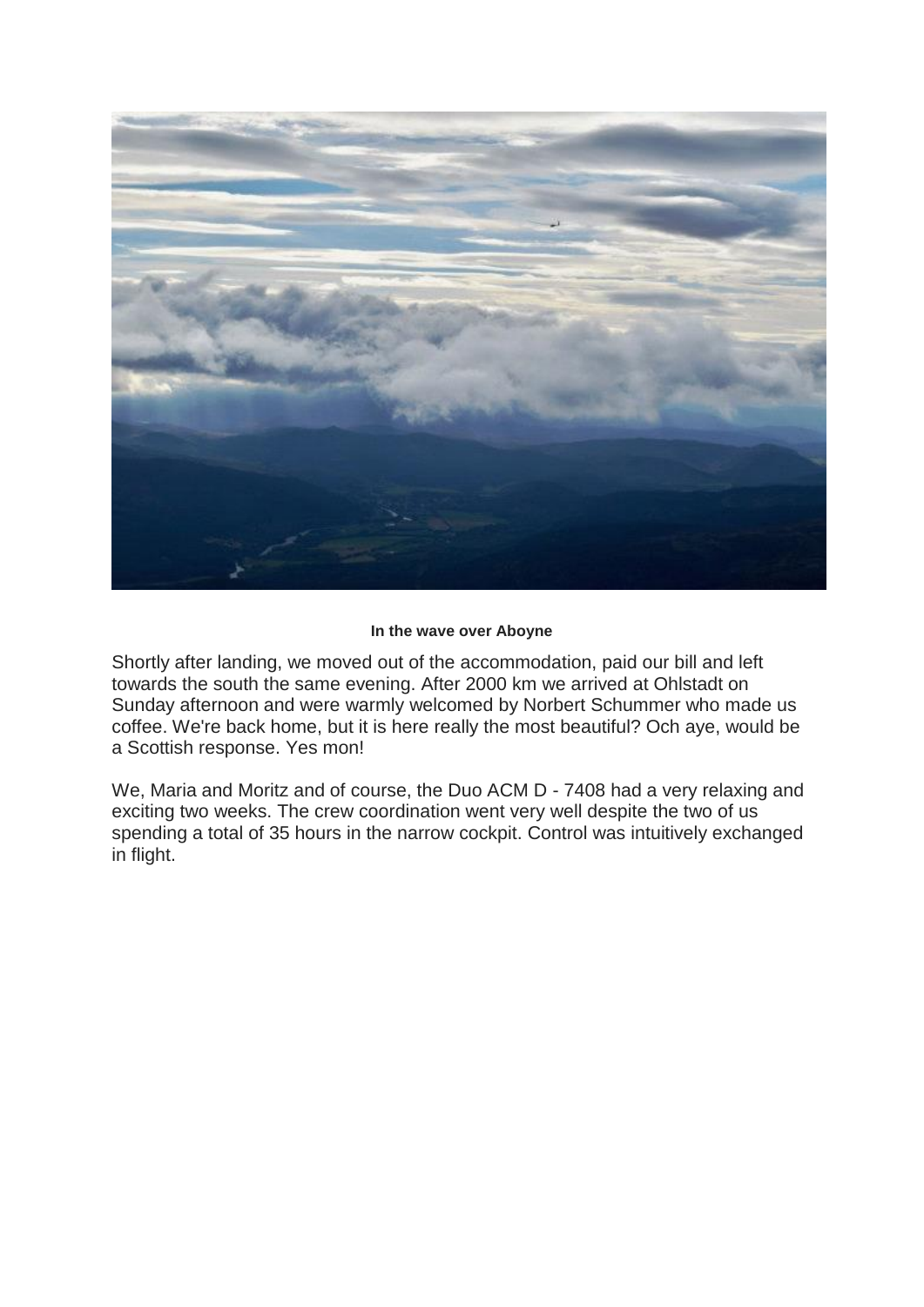

# **In the wave over Aboyne**

Shortly after landing, we moved out of the accommodation, paid our bill and left towards the south the same evening. After 2000 km we arrived at Ohlstadt on Sunday afternoon and were warmly welcomed by Norbert Schummer who made us coffee. We're back home, but it is here really the most beautiful? Och aye, would be a Scottish response. Yes mon!

We, Maria and Moritz and of course, the Duo ACM D - 7408 had a very relaxing and exciting two weeks. The crew coordination went very well despite the two of us spending a total of 35 hours in the narrow cockpit. Control was intuitively exchanged in flight.